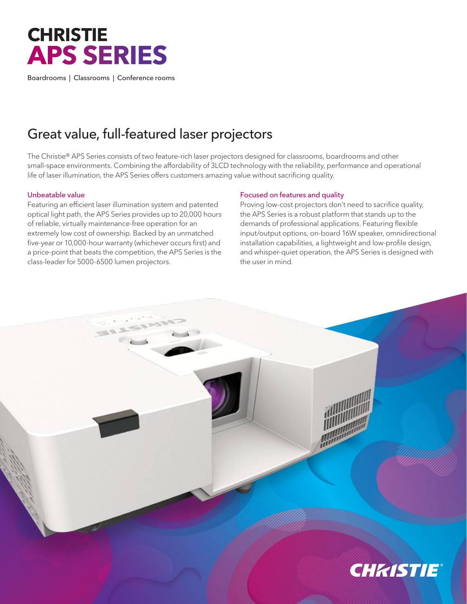# **CHRISTIE APS SERIES**

Boardrooms | Classrooms | Conference rooms

## Great value, full-featured laser projectors

The Christie® APS Series consists of two feature-rich laser projectors designed for classrooms, boardrooms and other small-space environments. Combining the affordability of 3LCD technology with the reliability, performance and operational life of laser illumination, the APS Series offers customers amazing value without sacrificing quality.

#### Unbeatable value

Featuring an efficient laser illumination system and patented optical light path, the APS Series provides up to 20,000 hours of reliable, virtually maintenance-free operation for an extremely low cost of ownership. Backed by an unmatched five-year or 10,000-hour warranty (whichever occurs first) and a price-point that beats the competition, the APS Series is the class-leader for 5000-6500 lumen projectors.

### Focused on features and quality

Proving low-cost projectors don't need to sacrifice quality, the APS Series is a robust platform that stands up to the demands of professional applications. Featuring flexible input/output options, on-board 16W speaker, omnidirectional installation capabilities, a lightweight and low-profile design, and whisper-quiet operation, the APS Series is designed with the user in mind.